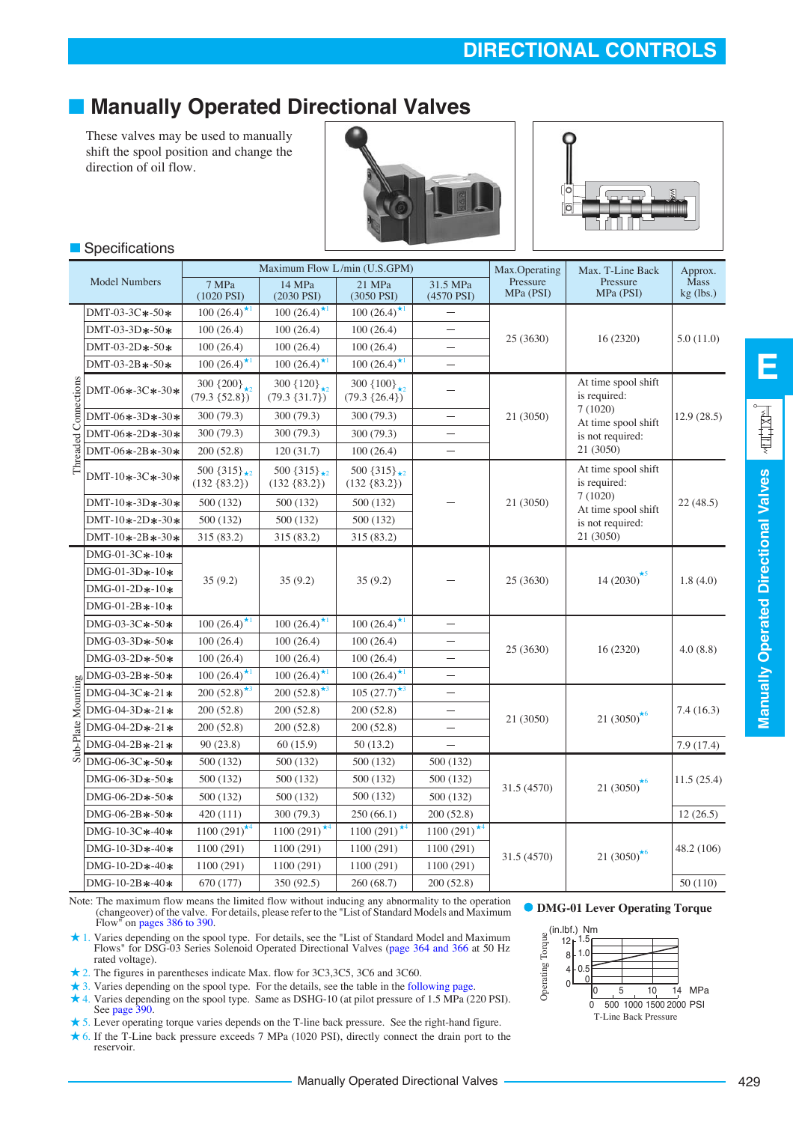# ■ **Manually Operated Directional Valves**

These valves may be used to manually shift the spool position and change the direction of oil flow.

**Specifications** 





|                      |                                                                                                                                                                                                                                                                                                                                                                                                                                  |                                            |                                             | Maximum Flow L/min (U.S.GPM)               |                          | Max.Operating         | Max. T-Line Back                    | Approx.                    |
|----------------------|----------------------------------------------------------------------------------------------------------------------------------------------------------------------------------------------------------------------------------------------------------------------------------------------------------------------------------------------------------------------------------------------------------------------------------|--------------------------------------------|---------------------------------------------|--------------------------------------------|--------------------------|-----------------------|-------------------------------------|----------------------------|
|                      | <b>Model Numbers</b>                                                                                                                                                                                                                                                                                                                                                                                                             | 7 MPa<br>$(1020$ PSI $)$                   | 14 MPa<br>$(2030$ PSI $)$                   | 21 MPa<br>(3050 PSI)                       | 31.5 MPa<br>(4570 PSI)   | Pressure<br>MPa (PSI) | Pressure<br>MPa (PSI)               | <b>Mass</b><br>$kg$ (lbs.) |
|                      | DMT-03-3C*-50*                                                                                                                                                                                                                                                                                                                                                                                                                   | $100(26.4)^{*1}$                           | $100(26.4)^{*1}$                            | $100(26.4)^{\star 1}$                      |                          |                       |                                     |                            |
|                      | DMT-03-3D $*$ -50 $*$                                                                                                                                                                                                                                                                                                                                                                                                            | 100(26.4)                                  | 100(26.4)                                   | 100(26.4)                                  |                          |                       |                                     |                            |
|                      | DMT-03-2D $*$ -50 $*$                                                                                                                                                                                                                                                                                                                                                                                                            | 100(26.4)                                  | 100(26.4)                                   | 100(26.4)                                  | ÷.                       | 25(3630)              | 16(2320)                            | 5.0(11.0)                  |
|                      | $DMT-03-2B*-50*$                                                                                                                                                                                                                                                                                                                                                                                                                 | $100(26.4)^{*1}$                           | $100(26.4)^{\frac{1}{1}}$                   | $100(26.4)^{*1}$                           |                          |                       |                                     |                            |
|                      | DMT-06*-3C*-30*                                                                                                                                                                                                                                                                                                                                                                                                                  | 300 $\{200\}_{*2}$<br>$(79.3 \{52.8\})$    | 300 $\{120\}_{\star2}$<br>$(79.3 \{31.7\})$ | 300 $\{100\}_{*2}$<br>$(79.3 \{26.4\})$    |                          |                       | At time spool shift<br>is required: |                            |
| Threaded Connections | $DMT-06*-3D*-30*$                                                                                                                                                                                                                                                                                                                                                                                                                | 300 (79.3)                                 | 300 (79.3)                                  | 300 (79.3)                                 |                          | 21 (3050)             | 7(1020)<br>At time spool shift      | 12.9(28.5)                 |
|                      | DMT-06*-2D*-30*                                                                                                                                                                                                                                                                                                                                                                                                                  | 300 (79.3)                                 | 300 (79.3)                                  | 300 (79.3)                                 |                          |                       | is not required:                    |                            |
|                      | DMT-06*-2B*-30*                                                                                                                                                                                                                                                                                                                                                                                                                  | 200 (52.8)                                 | 120(31.7)                                   | 100(26.4)                                  |                          |                       | 21 (3050)                           |                            |
|                      | DMT-10*-3C*-30*                                                                                                                                                                                                                                                                                                                                                                                                                  | 500 $\{315\}_{\star2}$<br>$(132 \{83.2\})$ | 500 $\{315\}_{\star2}$<br>$(132 \{83.2\})$  | 500 $\{315\}_{\star2}$<br>$(132 \{83.2\})$ |                          |                       | At time spool shift<br>is required: |                            |
|                      | $DMT-10*-3D*-30*$                                                                                                                                                                                                                                                                                                                                                                                                                | 500 (132)                                  | 500 (132)                                   | 500 (132)                                  |                          | 21 (3050)             | 7(1020)<br>At time spool shift      | 22(48.5)                   |
|                      | $DMT-10*-2D*-30*$                                                                                                                                                                                                                                                                                                                                                                                                                | 500 (132)                                  | 500 (132)                                   | 500 (132)                                  |                          |                       | is not required:                    |                            |
|                      | $DMT-10*-2B*-30*$                                                                                                                                                                                                                                                                                                                                                                                                                | 315 (83.2)                                 | 315 (83.2)                                  | 315 (83.2)                                 |                          |                       | 21 (3050)                           |                            |
|                      | DMG-01-3C*-10*                                                                                                                                                                                                                                                                                                                                                                                                                   |                                            |                                             |                                            |                          |                       |                                     |                            |
|                      | $DMG-01-3D*-10*$                                                                                                                                                                                                                                                                                                                                                                                                                 |                                            |                                             |                                            |                          |                       | 14 (2030) <sup>*5</sup>             |                            |
|                      | DMG-01-2D*-10*                                                                                                                                                                                                                                                                                                                                                                                                                   | 35(9.2)                                    | 35(9.2)                                     | 35(9.2)                                    |                          | 25(3630)              |                                     | 1.8(4.0)                   |
|                      | DMG-01-2B*-10*                                                                                                                                                                                                                                                                                                                                                                                                                   |                                            |                                             |                                            |                          |                       |                                     |                            |
|                      | DMG-03-3C*-50*                                                                                                                                                                                                                                                                                                                                                                                                                   | $100(26.4)^{*1}$                           | $100(26.4)^{1/1}$                           | $100(26.4)^{*1}$                           | $\overline{\phantom{0}}$ |                       |                                     |                            |
|                      | DMG-03-3D $*$ -50 $*$                                                                                                                                                                                                                                                                                                                                                                                                            | 100(26.4)                                  | 100(26.4)                                   | 100(26.4)                                  |                          |                       |                                     |                            |
|                      | DMG-03-2D $*$ -50 $*$                                                                                                                                                                                                                                                                                                                                                                                                            | 100(26.4)                                  | 100(26.4)                                   | 100(26.4)                                  | $\overline{\phantom{0}}$ | 25 (3630)             | 16(2320)                            | 4.0(8.8)                   |
|                      |                                                                                                                                                                                                                                                                                                                                                                                                                                  | $100(26.4)^{*1}$                           | $100(26.4)^{*1}$                            | $100(26.4)^{*1}$                           | $\overline{\phantom{0}}$ |                       |                                     |                            |
|                      |                                                                                                                                                                                                                                                                                                                                                                                                                                  | 200 $(52.8)^{*3}$                          | 200 $(52.8)^{\star}$ <sup>3</sup>           | $105 (27.7)^{*3}$                          | $\overline{\phantom{0}}$ |                       |                                     |                            |
|                      |                                                                                                                                                                                                                                                                                                                                                                                                                                  | 200(52.8)                                  | 200 (52.8)                                  | 200(52.8)                                  |                          |                       | 21 (3050) <sup>*6</sup>             | 7.4(16.3)                  |
|                      |                                                                                                                                                                                                                                                                                                                                                                                                                                  | 200(52.8)                                  | 200 (52.8)                                  | 200(52.8)                                  |                          | 21 (3050)             |                                     |                            |
|                      | $\begin{tabular}{c c} \hline \hline \hline p\\ \hline \hline p\\ \hline \hline 1\\ \hline 2\\ \hline 3\\ \hline 4\\ \hline 5\\ \hline 6\\ \hline 7\\ \hline 8\\ \hline 1\\ \hline 2\\ \hline 3\\ \hline 4\\ \hline 5\\ \hline 5\\ \hline 7\\ \hline 8\\ \hline 1\\ \hline 5\\ \hline 6\\ \hline 7\\ \hline 8\\ \hline 1\\ \hline 1\\ \hline 2\\ \hline 3\\ \hline 4\\ \hline 5\\ \hline 5\\ \hline 6\\ \hline 7\\ \hline 7\\ \h$ | 90(23.8)                                   | 60(15.9)                                    | 50 (13.2)                                  | $\equiv$                 |                       |                                     | 7.9(17.4)                  |
|                      | $DMG-06-3C*-50*$                                                                                                                                                                                                                                                                                                                                                                                                                 | 500 (132)                                  | 500 (132)                                   | 500 (132)                                  | 500 (132)                |                       |                                     |                            |
|                      | DMG-06-3D $*$ -50 $*$                                                                                                                                                                                                                                                                                                                                                                                                            | 500 (132)                                  | 500 (132)                                   | 500 (132)                                  | 500 (132)                |                       |                                     | 11.5(25.4)                 |
|                      | DMG-06-2D $*$ -50 $*$                                                                                                                                                                                                                                                                                                                                                                                                            | 500 (132)                                  | 500 (132)                                   | 500 (132)                                  | 500 (132)                | 31.5 (4570)           | 21 (3050)                           |                            |
|                      | DMG-06-2B $*$ -50 $*$                                                                                                                                                                                                                                                                                                                                                                                                            | 420(111)                                   | 300 (79.3)                                  | 250(66.1)                                  | 200 (52.8)               |                       |                                     | 12(26.5)                   |
|                      | DMG-10-3C*-40*                                                                                                                                                                                                                                                                                                                                                                                                                   | $1100(291)^{*4}$                           | $1100(291)^{1/4}$                           | $1100(291)^{1/4}$                          | $1100(291)^{1/4}$        |                       |                                     |                            |
|                      | $DMG-10-3D*-40*$                                                                                                                                                                                                                                                                                                                                                                                                                 | 1100 (291)                                 | 1100 (291)                                  | 1100 (291)                                 | 1100 (291)               |                       | 21 (3050) <sup>*6</sup>             | 48.2 (106)                 |
|                      | DMG-10-2D*-40*                                                                                                                                                                                                                                                                                                                                                                                                                   | 1100 (291)                                 | 1100 (291)                                  | 1100 (291)                                 | 1100 (291)               | 31.5 (4570)           |                                     |                            |
|                      | $DMG-10-2B*-40*$                                                                                                                                                                                                                                                                                                                                                                                                                 | 670 (177)                                  | 350 (92.5)                                  | 260 (68.7)                                 | 200 (52.8)               |                       |                                     | 50 (110)                   |

Manually Operated Directional Valves

Note: The maximum flow means the limited flow without inducing any abnormality to the operation<br>(changeover) of the valve. For details, please refer to the "List of Standard Models and Maximum **O DMG-01 Lever Operating Tor** Flow" on pages 386 to 390.

- 1. Varies depending on the spool type. For details, see the "List of Standard Model and Maximum Flows" for DSG-03 Series Solenoid Operated Directional Valves (page 364 and 366 at 50 Hz rated voltage).
- 2. The figures in parentheses indicate Max. flow for 3C3,3C5, 3C6 and 3C60.
- 3. Varies depending on the spool type. For the details, see the table in the [following page](#page-1-0).
- 4. Varies depending on the spool type. Same as DSHG-10 (at pilot pressure of 1.5 MPa (220 PSI). See page 390.
- 5. Lever operating torque varies depends on the T-line back pressure. See the right-hand figure. 6. If the T-Line back pressure exceeds 7 MPa (1020 PSI), directly connect the drain port to the reservoir.



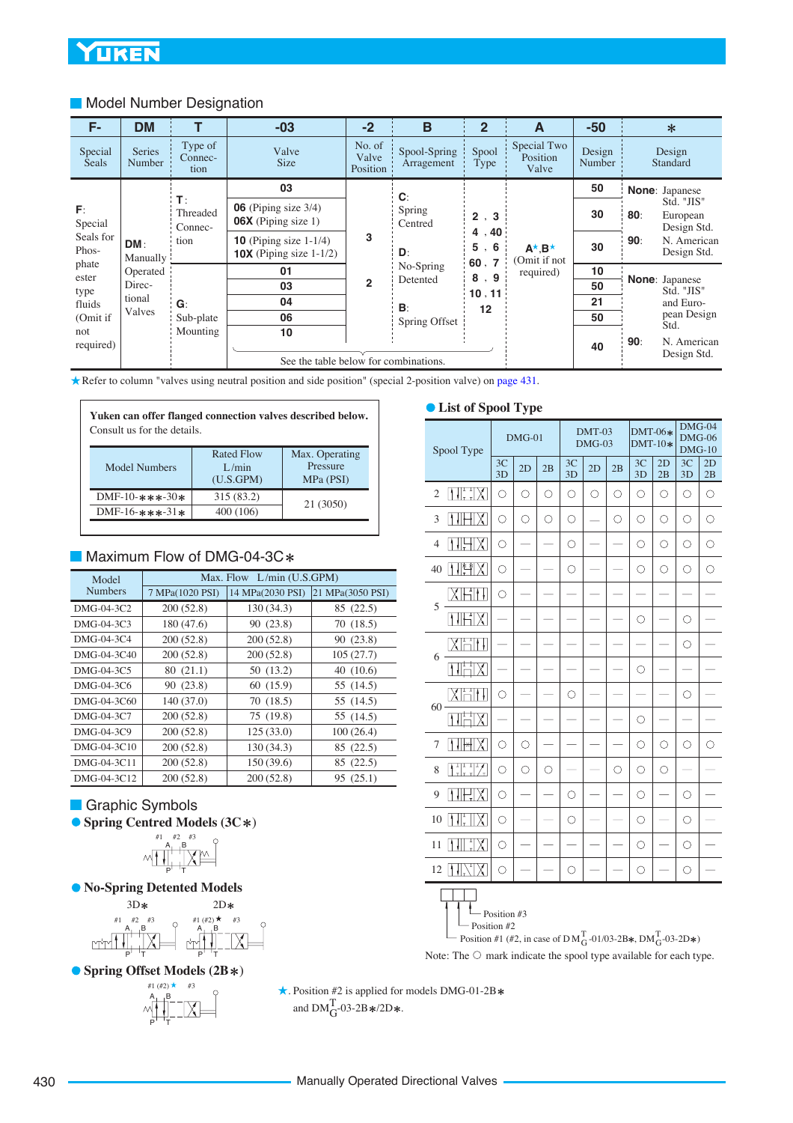#### <span id="page-1-0"></span>**Model Number Designation**

| F-                 | <b>DM</b>                      |                              | $-03$                                                                 | $-2$                        | B                          | $\overline{2}$         | A                                                 | $-50$            |     | $\ast$                                |
|--------------------|--------------------------------|------------------------------|-----------------------------------------------------------------------|-----------------------------|----------------------------|------------------------|---------------------------------------------------|------------------|-----|---------------------------------------|
| Special<br>Seals   | <b>Series</b><br><b>Number</b> | Type of<br>Connec-<br>tion   | Valve<br><b>Size</b>                                                  | No. of<br>Valve<br>Position | Spool-Spring<br>Arragement | Spool<br>Type          | Special Two<br>Position<br>Valve                  | Design<br>Number |     | Design<br>Standard                    |
|                    |                                |                              | 03                                                                    |                             | $\mathbf{C}$               |                        |                                                   | 50               |     | <b>None:</b> Japanese                 |
| F:<br>Special      |                                | $T$ :<br>Threaded<br>Connec- | $06$ (Piping size $3/4$ )<br>$06X$ (Piping size 1)                    |                             | Spring<br>Centred          | 2, 3                   |                                                   | 30               | 80: | Std. "JIS"<br>European<br>Design Std. |
| Seals for<br>Phos- | DM:<br>Manually                | tion                         | <b>10</b> (Piping size $1-1/4$ )<br><b>10X</b> (Piping size $1-1/2$ ) | 3                           | D:<br>No-Spring            | 4, 40<br>5, 6<br>60, 7 | $A^{\star}.B^{\star}$<br>Omit if not<br>required) | 30               | 90: | N. American<br>Design Std.            |
| phate<br>ester     | Operated                       |                              | 01                                                                    |                             |                            | 8.9                    |                                                   | 10               |     | <b>None: Japanese</b>                 |
| type               | Direc-                         |                              | 03                                                                    | $\overline{2}$              | Detented                   | 10, 11                 |                                                   | 50               |     | Std. "JIS"                            |
| fluids             | tional                         | $G$ :                        | 04                                                                    |                             | B:                         | 12                     |                                                   | 21               |     | and Euro-                             |
| (Omit if           | Valves                         | Sub-plate                    | 06                                                                    |                             | Spring Offset              |                        |                                                   | 50               |     | pean Design<br>Std.                   |
| not                |                                | Mounting                     | 10                                                                    |                             |                            |                        |                                                   |                  |     |                                       |
| required)          |                                |                              | See the table below for combinations.                                 |                             |                            |                        |                                                   | 40               | 90: | N. American<br>Design Std.            |

Refer to column "valves using neutral position and side position" (special 2-position valve) on [page 431.](#page-2-0)

| Yuken can offer flanged connection valves described below.<br>Consult us for the details. |                                         |                                         |  |  |  |  |  |  |  |  |
|-------------------------------------------------------------------------------------------|-----------------------------------------|-----------------------------------------|--|--|--|--|--|--|--|--|
| Model Numbers                                                                             | <b>Rated Flow</b><br>L/min<br>(U.S.GPM) | Max. Operating<br>Pressure<br>MPa (PSI) |  |  |  |  |  |  |  |  |
| DMF-10- $***-30*$                                                                         | 315 (83.2)                              |                                         |  |  |  |  |  |  |  |  |
| 21 (3050)<br>400 (106)<br>DMF-16- $***-31*$                                               |                                         |                                         |  |  |  |  |  |  |  |  |

### Maximum Flow of DMG-04-3C\*

| Model          |                 | Max. Flow $L/min (U.S.GPM)$ |                  |  |
|----------------|-----------------|-----------------------------|------------------|--|
| <b>Numbers</b> | 7 MPa(1020 PSI) | 14 MPa(2030 PSI)            | 21 MPa(3050 PSI) |  |
| DMG-04-3C2     | 200(52.8)       | 130 (34.3)                  | 85 (22.5)        |  |
| DMG-04-3C3     | 180 (47.6)      | 90 (23.8)                   | 70 (18.5)        |  |
| DMG-04-3C4     | 200(52.8)       | 200(52.8)                   | 90 (23.8)        |  |
| DMG-04-3C40    | 200(52.8)       | 200(52.8)                   | 105(27.7)        |  |
| DMG-04-3C5     | 80(21.1)        | 50 (13.2)                   | 40(10.6)         |  |
| DMG-04-3C6     | 90 (23.8)       | 60 (15.9)                   | 55 (14.5)        |  |
| DMG-04-3C60    | 140 (37.0)      | 70 (18.5)                   | 55 (14.5)        |  |
| DMG-04-3C7     | 200(52.8)       | 75 (19.8)                   | 55 (14.5)        |  |
| DMG-04-3C9     | 200(52.8)       | 125(33.0)                   | 100(26.4)        |  |
| DMG-04-3C10    | 200(52.8)       | 130 (34.3)                  | 85 (22.5)        |  |
| DMG-04-3C11    | 200(52.8)       | 150 (39.6)                  | 85 (22.5)        |  |
| DMG-04-3C12    | 200(52.8)       | 200(52.8)                   | 95 (25.1)        |  |

### Graphic Symbols

**O** Spring Centred Models (3C\*)



#### **No-Spring Detented Models**



**• Spring Offset Models (2B \*)** 



. #1 (#2) #3 Position #2 is applied for models DMG-01-2B and  $DM_{G}^{T}$ -03-2B  $\ast$ /2D  $\ast$ .

#### **List of Spool Type**

| Spool Type                                                    |            | $DMG-01$   |            |            | DMT-03<br>$DMG-03$ |            | $DMT-06*$<br>$DMT-10*$ |          | $DMG-04$<br>$DMG-06$<br>$DMG-10$ |            |
|---------------------------------------------------------------|------------|------------|------------|------------|--------------------|------------|------------------------|----------|----------------------------------|------------|
|                                                               | 3C<br>3D   | 2D         | 2B         | 3C<br>3D   | 2D                 | 2B         | 3C<br>3D               | 2D<br>2B | 3C<br>3D                         | 2D<br>2B   |
| $\prod_{\tau=1}^{1}$<br>$\mathbb X$ l<br>$\overline{2}$<br>I۱ | $\bigcirc$ | $\bigcirc$ | $\bigcirc$ | $\bigcirc$ | $\bigcirc$         | $\bigcirc$ | О                      | O        | Ο                                | $\bigcirc$ |
| 3                                                             | O          | $\circ$    | $\circ$    | $\circ$    |                    | Ω          | О                      | $\circ$  | $\circ$                          | $\circ$    |
| $\overline{4}$                                                | О          |            |            | $\circ$    |                    |            | О                      | $\circ$  | $\circ$                          | O          |
| 귀약<br>$\mathsf{X}$<br>Ił<br>40                                | О          |            |            | O          |                    |            | О                      | О        | O                                | O          |
| I<br>T<br>ł<br>H<br>5                                         | Ó          |            |            |            |                    |            |                        |          |                                  |            |
|                                                               |            |            |            |            |                    |            | O                      |          | $\circ$                          |            |
| ₹<br>ł<br>Н<br>6                                              |            |            |            |            |                    |            |                        |          | О                                |            |
| Ħ                                                             |            |            |            |            |                    |            | О                      |          |                                  |            |
| H<br>$60 -$                                                   | O          |            |            | $\circ$    |                    |            |                        |          | Ο                                |            |
| t<br>т                                                        |            |            |            |            |                    |            | О                      |          |                                  |            |
| Ⅻ<br>7<br>I۱<br>╫╬╢                                           | O          | О          |            |            |                    |            | Ο                      | Ο        | О                                | О          |
| $\frac{1}{11}$ $\frac{1}{1}$ $\frac{1}{1}$<br>8               | Ó          | $\circ$    | Ο          |            |                    | ◯          | $\bigcirc$             | $\circ$  |                                  |            |
| Ⅻ<br>Į<br>9                                                   | О          |            |            | О          |                    |            | О                      |          | O                                |            |
| Ⅻ<br>10<br>I۱                                                 | O          |            |            | О          |                    |            | О                      |          | О                                |            |
| X<br>11                                                       | O          |            |            |            |                    |            | $\bigcirc$             |          | $\bigcirc$                       |            |
| 12                                                            | O          |            |            | Ο          |                    |            | O                      |          | $\circ$                          |            |
| ۸<br>A<br>۸                                                   |            |            |            |            |                    |            |                        |          |                                  |            |

 $\Box$  Position #3

— Position #2<br>Position #1 (#2, in case of D M  $_{\rm G}^{\rm T}$ -01/03-2B $\rm \ast$ , DM  $_{\rm G}^{\rm T}$ -03-2D $\rm \ast$ )

Note: The  $\circlearrowright$  mark indicate the spool type available for each type.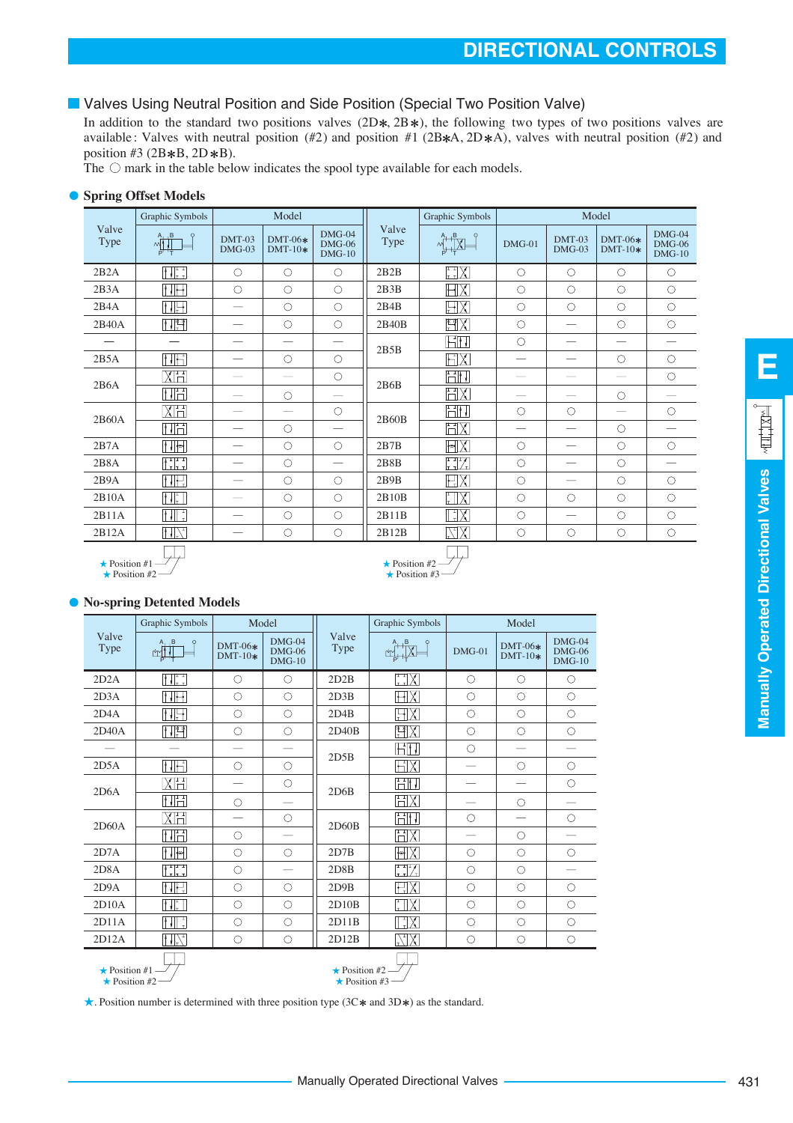#### <span id="page-2-0"></span>**U** Valves Using Neutral Position and Side Position (Special Two Position Valve)

In addition to the standard two positions valves  $(2D*, 2B*)$ , the following two types of two positions valves are available: Valves with neutral position (#2) and position #1 (2B $*A$ , 2D $*A$ ), valves with neutral position (#2) and position #3 (2B $*B$ , 2D $*B$ ).

The  $\circlearrowright$  mark in the table below indicates the spool type available for each models.

#### **• Spring Offset Models**

|               | Graphic Symbols                                                                                                                                                                                                                                                                                                                                     |                    | Model                  |                                  |               | Graphic Symbols                                |                          |                          | Model                             |                                  |
|---------------|-----------------------------------------------------------------------------------------------------------------------------------------------------------------------------------------------------------------------------------------------------------------------------------------------------------------------------------------------------|--------------------|------------------------|----------------------------------|---------------|------------------------------------------------|--------------------------|--------------------------|-----------------------------------|----------------------------------|
| Valve<br>Type | $\begin{picture}(180,10) \put(0,0){\line(1,0){10}} \put(10,0){\line(1,0){10}} \put(10,0){\line(1,0){10}} \put(10,0){\line(1,0){10}} \put(10,0){\line(1,0){10}} \put(10,0){\line(1,0){10}} \put(10,0){\line(1,0){10}} \put(10,0){\line(1,0){10}} \put(10,0){\line(1,0){10}} \put(10,0){\line(1,0){10}} \put(10,0){\line(1,0){10}} \put(10,0){\line($ | DMT-03<br>$DMG-03$ | $DMT-06*$<br>$DMT-10*$ | $DMG-04$<br>$DMG-06$<br>$DMG-10$ | Valve<br>Type | $\frac{1}{4}$ $\frac{1}{12}$                   | $DMG-01$                 | $DMT-03$<br>$DMG-03$     | $DMT-06*$<br>$DMT-10*$            | $DMG-04$<br>$DMG-06$<br>$DMG-10$ |
| 2B2A          | $\left[\begin{smallmatrix}1&1&1\1&1&1\end{smallmatrix}\right]$                                                                                                                                                                                                                                                                                      | $\circ$            | $\circ$                | $\circ$                          | 2B2B          | $\begin{bmatrix} 1 & 1 \\ 1 & 1 \end{bmatrix}$ | $\circ$                  | $\circ$                  | $\circ$                           | $\circ$                          |
| 2B3A          | HH                                                                                                                                                                                                                                                                                                                                                  | $\circ$            | $\circ$                | $\circ$                          | 2B3B          | HX                                             | $\circ$                  | $\circ$                  | $\circ$                           | $\circ$                          |
| 2B4A          | HH                                                                                                                                                                                                                                                                                                                                                  |                    | $\circ$                | $\bigcirc$                       | 2B4B          | $\boxplus$ X                                   | $\circ$                  | $\circ$                  | $\circ$                           | $\circ$                          |
| 2B40A         | HT                                                                                                                                                                                                                                                                                                                                                  |                    | $\bigcirc$             | $\bigcirc$                       | 2B40B         | <u>rix</u>                                     | $\bigcirc$               |                          | $\circ$                           | $\circ$                          |
|               |                                                                                                                                                                                                                                                                                                                                                     |                    |                        |                                  | 2B5B          | HH.                                            | $\bigcirc$               |                          | $\hspace{0.05cm}$                 |                                  |
| 2B5A          | HH                                                                                                                                                                                                                                                                                                                                                  |                    | $\circ$                | $\circ$                          |               | HХ                                             | $\overline{\phantom{0}}$ |                          | $\circ$                           | $\circ$                          |
| 2B6A          | XH                                                                                                                                                                                                                                                                                                                                                  |                    |                        | $\circ$                          | 2B6B          | HH.                                            |                          |                          |                                   | $\circ$                          |
|               | $\Box$                                                                                                                                                                                                                                                                                                                                              |                    | $\circ$                |                                  |               | НX                                             | $\overline{\phantom{0}}$ |                          | $\circ$                           |                                  |
| 2B60A         | XH                                                                                                                                                                                                                                                                                                                                                  |                    |                        | $\circ$                          | 2B60B         | HH,                                            | $\circ$                  | $\circ$                  | $\overbrace{\phantom{123221111}}$ | $\circ$                          |
|               | HH                                                                                                                                                                                                                                                                                                                                                  |                    | $\circ$                |                                  |               | $\mathbb H \mathsf X$                          |                          |                          | $\circ$                           |                                  |
| 2B7A          | .                                                                                                                                                                                                                                                                                                                                                   |                    | $\circ$                | $\circ$                          | 2B7B          | $ \cdot $                                      | $\circ$                  |                          | $\circ$                           | $\circ$                          |
| 2B8A          | HH                                                                                                                                                                                                                                                                                                                                                  |                    | $\circ$                |                                  | 2B8B          | $\begin{bmatrix} 1 & 1 \\ 1 & 1 \end{bmatrix}$ | $\circ$                  |                          | $\circ$                           |                                  |
| 2B9A          | H.                                                                                                                                                                                                                                                                                                                                                  |                    | $\circ$                | $\bigcirc$                       | 2B9B          | HX                                             | $\circ$                  | $\overline{\phantom{0}}$ | $\circ$                           | $\circ$                          |
| 2B10A         | $\left\  \cdot \right\ _{\tau}^{\frac{1}{r}}$                                                                                                                                                                                                                                                                                                       |                    | $\circ$                | $\circ$                          | 2B10B         | <u>HX</u>                                      | $\circ$                  | $\circ$                  | $\circ$                           | $\circ$                          |
| 2B11A         | $\left[\begin{array}{c} 1 \\ 1 \end{array}\right] \left[\begin{array}{c} 1 \\ 1 \end{array}\right]$                                                                                                                                                                                                                                                 |                    | $\circ$                | $\bigcirc$                       | 2B11B         | $\mathbb{L}[\mathsf{X}]$                       | $\circ$                  | $\overline{\phantom{m}}$ | $\circ$                           | $\circ$                          |
| 2B12A         | $   \cdot   $                                                                                                                                                                                                                                                                                                                                       |                    | $\circ$                | $\circ$                          | 2B12B         | XK                                             | $\circ$                  | $\circ$                  | $\circ$                           | $\circ$                          |
|               | <b>TIM</b>                                                                                                                                                                                                                                                                                                                                          |                    |                        |                                  |               | $\overline{\phantom{a}}$                       |                          |                          |                                   |                                  |

 $\star$  Position #3  $\star$  Position #2 -

 $\star$  Position #1 -

 $\bigstar$  Position #2

#### **No-spring Detented Models**

|                                              | Graphic Symbols                | Model                    |                                  |                                            | <b>Graphic Symbols</b>                         |            | Model                    |                                  |
|----------------------------------------------|--------------------------------|--------------------------|----------------------------------|--------------------------------------------|------------------------------------------------|------------|--------------------------|----------------------------------|
| Valve<br>Type                                | $A_1$ $B$<br>$\circ$<br>r⁄m∕l† | $DMT-06*$<br>$DMT-10*$   | $DMG-04$<br>$DMG-06$<br>$DMG-10$ | Valve<br><b>Type</b>                       | A, B<br>r۳                                     | $DMG-01$   | $DMT-06*$<br>$DMT-10*$   | $DMG-04$<br>$DMG-06$<br>$DMG-10$ |
| 2D2A                                         | $\{\cdot\}$ :                  | $\circ$                  | О                                | 2D2B                                       | $\chi_{\mathbb{F}_\tau}^{\mathbb{F}_\tau}$     | $\circ$    | O                        | $\circ$                          |
| 2D3A                                         | TTH                            | $\circ$                  | $\circ$                          | 2D3B                                       | HХ                                             | $\circ$    | $\circ$                  | $\circ$                          |
| 2DAA                                         | $   \cdot   $                  | $\circ$                  | $\circ$                          | 2D4B                                       | HХ                                             | $\circ$    | $\circ$                  | $\circ$                          |
| 2D40A                                        | H                              | $\circ$                  | $\circ$                          | 2D40B                                      | 習X                                             | $\circ$    | $\circ$                  | $\circ$                          |
|                                              |                                | $\overline{\phantom{0}}$ |                                  | 2D5B                                       | HH.                                            | $\circ$    |                          |                                  |
| 2D5A                                         | $   \cdot   $                  | $\circ$                  | $\circ$                          |                                            | НX                                             |            | $\bigcirc$               | $\circ$                          |
| 2D6A                                         | XH                             |                          | $\circ$                          | 2D6B                                       | HH                                             |            | $\overline{\phantom{0}}$ | $\circ$                          |
|                                              | HH                             | $\circ$                  |                                  |                                            | HX                                             |            | $\circ$                  |                                  |
| 2D60A                                        | XH                             | $\overline{\phantom{0}}$ | $\circ$                          | 2D60B                                      | Fil I                                          | $\circ$    | -                        | $\circ$                          |
|                                              | HH                             | $\circ$                  | -                                |                                            | H<br>$\overline{\chi}$                         |            | $\bigcirc$               |                                  |
| 2D7A                                         | $  .  $ *                      | $\circ$                  | $\circ$                          | 2D7B                                       | FIX                                            | $\circ$    | $\circ$                  | $\circ$                          |
| 2D8A                                         | HH.                            | $\circ$                  |                                  | 2D8B                                       | $\begin{bmatrix} 1 & 1 \\ 1 & 1 \end{bmatrix}$ | $\circ$    | $\bigcirc$               |                                  |
| 2D9A                                         | HE                             | $\bigcirc$               | $\bigcirc$                       | 2D9B                                       | HХ                                             | $\bigcirc$ | $\bigcirc$               | $\bigcirc$                       |
| 2D10A                                        | $\prod_{i=1}^{n}$              | $\bigcirc$               | $\bigcirc$                       | 2D10B                                      | $\overline{\chi}$                              | $\bigcirc$ | $\bigcirc$               | $\bigcirc$                       |
| 2D11A                                        | HT.                            | $\circ$                  | $\circ$                          | 2D11B                                      | $\mathbb{H}^1$                                 | $\circ$    | $\bigcirc$               | $\circ$                          |
| 2D12A                                        | $  \cdot  _{\mathcal{F}}$      | $\circ$                  | $\circ$                          | 2D12B                                      | $\left[\frac{1}{\sqrt{1}}\right]$<br>Χ         | $\circ$    | $\circ$                  | $\circ$                          |
| $\star$ Position #1 -<br>$\star$ Position #2 |                                |                          |                                  | $\star$ Position #2<br>$\star$ Position #3 |                                                |            |                          |                                  |

. Position number is determined with three position type  $(3C*$  and  $3D*)$  as the standard.

**E**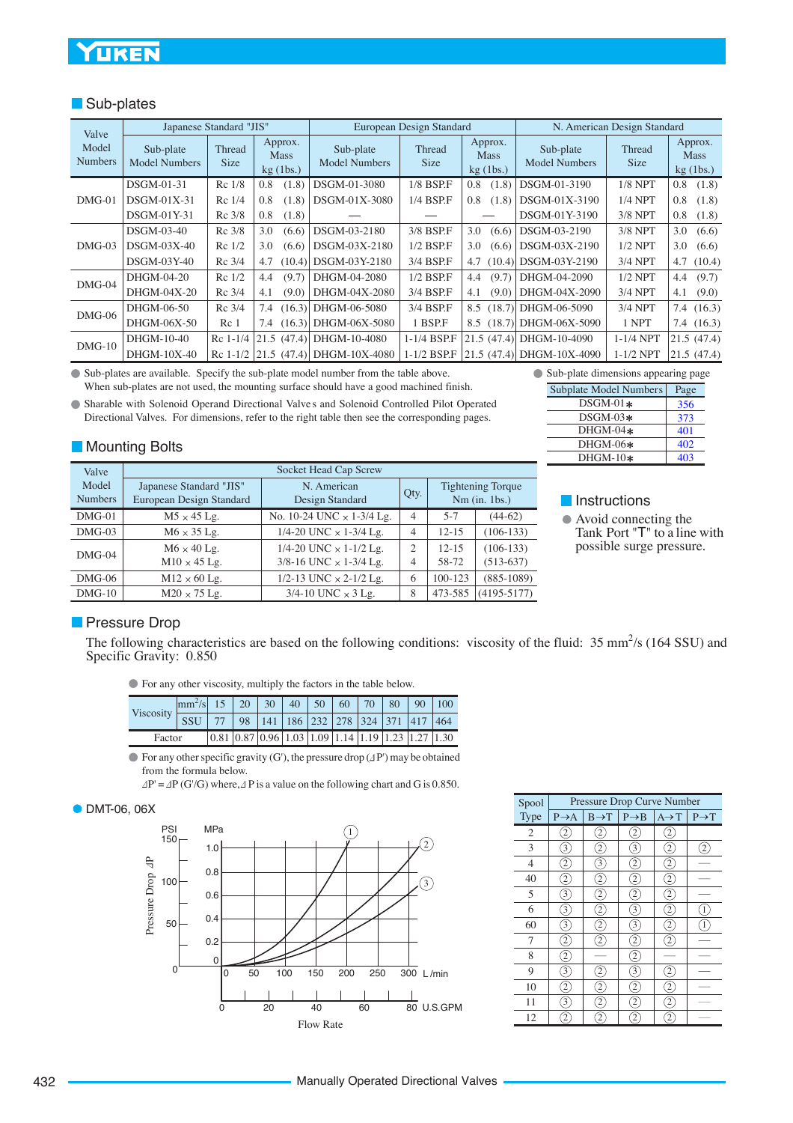### **UKEN**

#### **Sub-plates**

| Valve            |                                   | Japanese Standard "JIS" |                                       |                                   | European Design Standard |                                       |                                   | N. American Design Standard |                                       |
|------------------|-----------------------------------|-------------------------|---------------------------------------|-----------------------------------|--------------------------|---------------------------------------|-----------------------------------|-----------------------------|---------------------------------------|
| Model<br>Numbers | Sub-plate<br><b>Model Numbers</b> | Thread<br><b>Size</b>   | Approx.<br><b>Mass</b><br>$kg$ (1bs.) | Sub-plate<br><b>Model Numbers</b> | Thread<br><b>Size</b>    | Approx.<br><b>Mass</b><br>$kg$ (1bs.) | Sub-plate<br><b>Model Numbers</b> | Thread<br>Size              | Approx.<br><b>Mass</b><br>$kg$ (1bs.) |
|                  | DSGM-01-31                        | Rc 1/8                  | (1.8)<br>0.8                          | DSGM-01-3080                      | $1/8$ BSP.F              | (1.8)<br>0.8                          | DSGM-01-3190                      | $1/8$ NPT                   | 0.8<br>(1.8)                          |
| $DMG-01$         | $DSGM-01X-31$                     | Rc 1/4                  | 0.8<br>(1.8)                          | DSGM-01X-3080                     | 1/4 BSP.F                | 0.8<br>(1.8)                          | DSGM-01X-3190                     | $1/4$ NPT                   | 0.8<br>(1.8)                          |
|                  | DSGM-01Y-31                       | Rc 3/8                  | 0.8<br>(1.8)                          |                                   |                          |                                       | DSGM-01Y-3190                     | $3/8$ NPT                   | 0.8<br>(1.8)                          |
|                  | DSGM-03-40                        | Rc 3/8                  | 3.0<br>(6.6)                          | DSGM-03-2180                      | 3/8 BSP.F                | 3.0<br>(6.6)                          | DSGM-03-2190                      | $3/8$ NPT                   | 3.0<br>(6.6)                          |
| $DMG-03$         | $DSGM-03X-40$                     | $Re$ 1/2                | 3.0<br>(6.6)                          | DSGM-03X-2180                     | $1/2$ BSP.F              | 3.0<br>(6.6)                          | DSGM-03X-2190                     | $1/2$ NPT                   | 3.0<br>(6.6)                          |
|                  | $DSGM-03Y-40$                     | Rc 3/4                  | 4.7<br>(10.4)                         | DSGM-03Y-2180                     | 3/4 BSP.F                | 4.7<br>(10.4)                         | DSGM-03Y-2190                     | 3/4 NPT                     | 4.7(10.4)                             |
| $DMG-04$         | DHGM-04-20                        | Rc 1/2                  | (9.7)<br>4.4                          | DHGM-04-2080                      | $1/2$ BSP.F              | (9.7)<br>4.4                          | DHGM-04-2090                      | $1/2$ NPT                   | (9.7)<br>4.4                          |
|                  | DHGM-04X-20                       | Rc 3/4                  | 4.1<br>(9.0)                          | DHGM-04X-2080                     | 3/4 BSP.F                | 4.1<br>(9.0)                          | DHGM-04X-2090                     | 3/4 NPT                     | (9.0)<br>4.1                          |
| $DMG-06$         | DHGM-06-50                        | Rc 3/4                  | (16.3)<br>7.4                         | DHGM-06-5080                      | 3/4 BSP.F                | (18.7)<br>8.5                         | DHGM-06-5090                      | $3/4$ NPT                   | 7.4(16.3)                             |
|                  | DHGM-06X-50                       | Re <sub>1</sub>         |                                       | 7.4 (16.3) DHGM-06X-5080          | 1 BSP.F                  |                                       | 8.5 (18.7) DHGM-06X-5090          | 1 NPT                       | 7.4 $(16.3)$                          |
| $DMG-10$         | DHGM-10-40                        | $Re 1-1/4$              |                                       | 21.5 (47.4) DHGM-10-4080          | 1-1/4 BSP.F              | 21.5(47.4)                            | DHGM-10-4090                      | $1-1/4$ NPT                 | 21.5(47.4)                            |
|                  | DHGM-10X-40                       | $Re 1-1/2$              |                                       | 21.5 (47.4) DHGM-10X-4080         | $1-1/2$ BSP.F            |                                       | 21.5 (47.4) DHGM-10X-4090         | $1-1/2$ NPT                 | 21.5(47.4)                            |

Sub-plates are available. Specify the sub-plate model number from the table above. When sub-plates are not used, the mounting surface should have a good machined finish.

Sharable with Solenoid Operand Directional Valve s and Solenoid Controlled Pilot Operated Directional Valves. For dimensions, refer to the right table then see the corresponding pages.

#### **Mounting Bolts**

| Valve                   | Socket Head Cap Screw                               |                                  |                |           |                                             |  |  |  |  |  |  |
|-------------------------|-----------------------------------------------------|----------------------------------|----------------|-----------|---------------------------------------------|--|--|--|--|--|--|
| Model<br><b>Numbers</b> | Japanese Standard "JIS"<br>European Design Standard | N. American<br>Design Standard   | Qty.           |           | <b>Tightening Torque</b><br>$Nm$ (in. 1bs.) |  |  |  |  |  |  |
| $DMG-01$                | $M5 \times 45$ Lg.                                  | No. 10-24 UNC $\times$ 1-3/4 Lg. | $\overline{4}$ | $5 - 7$   | $(44-62)$                                   |  |  |  |  |  |  |
| $DMG-03$                | $M6 \times 35$ Lg.                                  | 1/4-20 UNC $\times$ 1-3/4 Lg.    | $\overline{4}$ | $12 - 15$ | $(106-133)$                                 |  |  |  |  |  |  |
| $DMG-04$                | $M6 \times 40$ Lg.                                  | 1/4-20 UNC $\times$ 1-1/2 Lg.    | $\mathfrak{D}$ | $12 - 15$ | $(106-133)$                                 |  |  |  |  |  |  |
|                         | $M10 \times 45$ Lg.                                 | 3/8-16 UNC $\times$ 1-3/4 Lg.    | $\overline{4}$ | 58-72     | $(513-637)$                                 |  |  |  |  |  |  |
| $DMG-06$                | $M12 \times 60$ Lg.                                 | 1/2-13 UNC $\times$ 2-1/2 Lg.    | 6              | 100-123   | $(885-1089)$                                |  |  |  |  |  |  |
| $DMG-10$                | $M20 \times 75$ Lg.                                 | $3/4$ -10 UNC $\times$ 3 Lg.     | 8              | 473-585   | $(4195 - 5177)$                             |  |  |  |  |  |  |

#### Subplate Model Numbers Page Sub-plate dimensions appearing page

| $DSGM-01*$ | 356 |
|------------|-----|
| $DSGM-03*$ | 373 |
| $DHGM-04*$ | 401 |
| $DHGM-06*$ | 402 |
| $DHGM-10*$ | 403 |

#### **Instructions**

Avoid connecting the Tank Port "T" to a line with possible surge pressure.

#### **Pressure Drop**

The following characteristics are based on the following conditions: viscosity of the fluid:  $35 \text{ mm}^2/\text{s}$  (164 SSU) and Specific Gravity: 0.850

For any other viscosity, multiply the factors in the table below.

|           | $\left \frac{mm^2}{s}\right $ 15   20   30   40   50   60   70   80   90   100 |  |                                                                                                                 |  |  |  |  |
|-----------|--------------------------------------------------------------------------------|--|-----------------------------------------------------------------------------------------------------------------|--|--|--|--|
| Viscosity | <b>SSU</b>                                                                     |  | 77 98 141 186 232 278 324 371 417 464                                                                           |  |  |  |  |
| Factor    |                                                                                |  | $\vert 0.81 \vert 0.87 \vert 0.96 \vert 1.03 \vert 1.09 \vert 1.14 \vert 1.19 \vert 1.23 \vert 1.27 \vert 1.30$ |  |  |  |  |

 $\bullet$  For any other specific gravity (G'), the pressure drop ( $\Delta$ P') may be obtained from the formula below.

 $\Delta P' = \Delta P(G/G)$  where,  $\Delta P$  is a value on the following chart and G is 0.850.

#### **DMT-06, 06X**



| Spool          |                   | Pressure Drop Curve Number |                   |                   |                   |  |  |  |  |  |  |  |
|----------------|-------------------|----------------------------|-------------------|-------------------|-------------------|--|--|--|--|--|--|--|
| Type           | $P \rightarrow A$ | $B \rightarrow T$          | $P \rightarrow B$ | $A \rightarrow T$ | $P \rightarrow T$ |  |  |  |  |  |  |  |
| $\overline{2}$ | $\overline{c}$    | $\overline{c}$             |                   | $\overline{c}$    |                   |  |  |  |  |  |  |  |
| 3              | 3                 | 2                          | 3                 | 2                 |                   |  |  |  |  |  |  |  |
| $\overline{4}$ | 2                 | 3                          | 2                 | 2                 |                   |  |  |  |  |  |  |  |
| 40             | 2                 | 2                          | 2                 | 2                 |                   |  |  |  |  |  |  |  |
| 5              | 3                 | 2                          | 2                 | 2                 |                   |  |  |  |  |  |  |  |
| 6              | 3                 | 2                          | 3                 | 2                 |                   |  |  |  |  |  |  |  |
| 60             | 3                 |                            | 3                 | 2                 | 1                 |  |  |  |  |  |  |  |
| 7              | $\overline{c}$    |                            | 2                 |                   |                   |  |  |  |  |  |  |  |
| 8              | 2                 |                            | 2                 |                   |                   |  |  |  |  |  |  |  |
| 9              | 3                 |                            | 3                 |                   |                   |  |  |  |  |  |  |  |
| 10             | 2                 | 2                          | 2                 | 2                 |                   |  |  |  |  |  |  |  |
| 11             | 3                 | 2                          | 2                 | 2                 |                   |  |  |  |  |  |  |  |
| 12             | 2                 |                            |                   |                   |                   |  |  |  |  |  |  |  |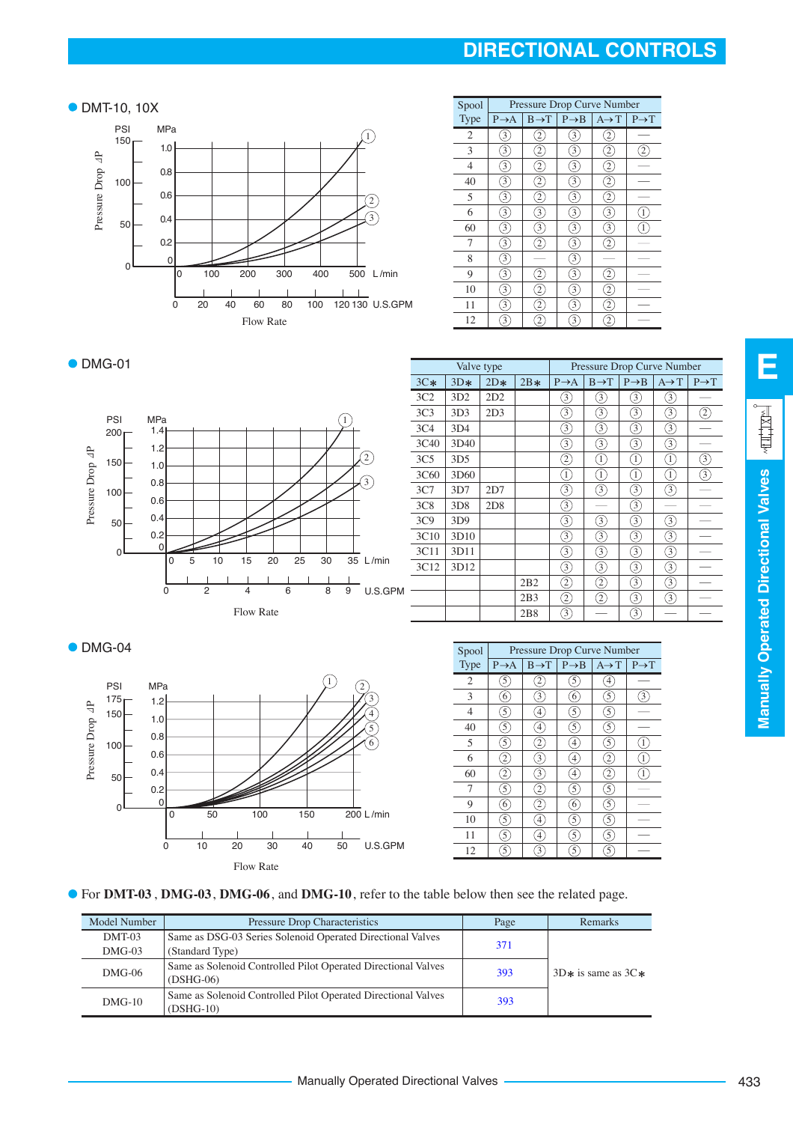## **DIRECTIONAL CONTROLS**

#### ● DMT-10, 10X



| Spool | Pressure Drop Curve Number |                   |                   |                   |                   |
|-------|----------------------------|-------------------|-------------------|-------------------|-------------------|
| Type  | $P \rightarrow A$          | $B \rightarrow T$ | $P \rightarrow B$ | $A \rightarrow T$ | $P \rightarrow T$ |
| 2     | 3                          |                   | 3                 |                   |                   |
| 3     | 3                          | 2                 | 3                 | 2                 |                   |
| 4     | 3                          | 2                 | 3                 | 2                 |                   |
| 40    | 3                          | 2                 | 3                 | 2                 |                   |
| 5     | 3                          | 2                 | 3                 | 2                 |                   |
| 6     | 3                          | 3                 | 3                 | 3                 |                   |
| 60    | 3                          | 3                 | 3                 | 3                 |                   |
| 7     | 3                          | 2                 | 3                 |                   |                   |
| 8     | 3                          |                   | 3                 |                   |                   |
| 9     | 3                          |                   | 3                 |                   |                   |
| 10    | 3                          | 2                 | 3                 |                   |                   |
| 11    | 3                          | 2                 | 3                 |                   |                   |
| 12    | 3                          |                   | 3                 |                   |                   |

**E** Manually Operated Directional Valves  $\sqrt{\frac{|\mathbf{r}|}{|\mathbf{r}|}}$ **Manually Operated Directional Valves**

#### • DMG-01



| Valve type      |                 |       | Pressure Drop Curve Number |                                                                                                         |                   |                   |                   |                   |
|-----------------|-----------------|-------|----------------------------|---------------------------------------------------------------------------------------------------------|-------------------|-------------------|-------------------|-------------------|
| $3C*$           | $3D*$           | $2D*$ | $2B*$                      | $P \rightarrow A$                                                                                       | $B \rightarrow T$ | $P \rightarrow B$ | $A \rightarrow T$ | $P \rightarrow T$ |
| 3C2             | 3D2             | 2D2   |                            | 3)                                                                                                      | 3,                | 3,                | 3,                |                   |
| 3C <sub>3</sub> | 3D <sub>3</sub> | 2D3   |                            | 3)                                                                                                      | 3.                | 3,                | 3                 | Z                 |
| 3C <sub>4</sub> | 3D4             |       |                            | 3                                                                                                       | 3.                | 3                 | 3                 |                   |
| 3C40            | 3D40            |       |                            | 3                                                                                                       | 3)                | 3)                | 3.                |                   |
| 3C <sub>5</sub> | 3D <sub>5</sub> |       |                            | $\widehat{\mathcal{Z}}$                                                                                 | $\left( 1\right)$ | $\left(1\right)$  | $\left( 1\right)$ | 3                 |
| 3C60            | 3D60            |       |                            | 1)                                                                                                      | $\left(1\right)$  | $\left(1\right)$  | $\left(1\right)$  | 3                 |
| 3C7             | 3D7             | 2D7   |                            | $\mathcal{L}_{3}$                                                                                       | 3                 | 3                 | 3                 |                   |
| 3C8             | 3D8             | 2D8   |                            | 3                                                                                                       |                   | 3,                |                   |                   |
| 3C9             | 3D9             |       |                            | 3)                                                                                                      | 3                 | 3.                | 3                 |                   |
| 3C10            | 3D10            |       |                            | 3)                                                                                                      | 3,                | 3,                | 3)                |                   |
| 3C11            | 3D11            |       |                            | $\mathcal{F}_{3}$                                                                                       | 3.                | 3.                | $\mathcal{E}$     |                   |
| 3C12            | 3D12            |       |                            | ③                                                                                                       | 3                 | 3                 | $\mathcal{E}$     |                   |
|                 |                 |       | 2B2                        | $\mathfrak{D}% _{T}=\mathfrak{D}_{T}\!\left( a,b\right) ,\ \mathfrak{D}_{T}=C_{T}\!\left( a,b\right) ,$ | 2                 | $\circled{3}$     | $\widehat{3}$     |                   |
|                 |                 |       | 2B3                        | $\widehat{\mathcal{Z}}$                                                                                 | 2                 | 3                 | $\circled{3}$     |                   |
|                 |                 |       | 2B8                        | 3)                                                                                                      |                   | 3,                |                   |                   |

 $\bullet$  DMG-04



| Spool | Pressure Drop Curve Number |                   |                   |                   |                   |  |
|-------|----------------------------|-------------------|-------------------|-------------------|-------------------|--|
| Type  | $P \rightarrow A$          | $B \rightarrow T$ | $P \rightarrow B$ | $A \rightarrow T$ | $P \rightarrow T$ |  |
| 2     | 5                          |                   | 5                 | 4                 |                   |  |
| 3     | 6                          | 3                 | 6                 | 5                 |                   |  |
| 4     | $\widehat{5}$              | 4                 | 5                 | $\overline{5}$    |                   |  |
| 40    | $\overline{5}$             | 4                 | 5                 | 5                 |                   |  |
| 5     | 5                          | 2                 | 4                 | 5                 |                   |  |
| 6     | $\overline{c}$             | 3                 | $\overline{4}$    | 2                 |                   |  |
| 60    | $\overline{\mathbf{c}}$    | 3                 | $\overline{4}$    | 2                 |                   |  |
| 7     | $\overline{5}$             | $\overline{c}$    | 5                 | 5                 |                   |  |
| 9     | 6                          | 2                 | 6                 | 5                 |                   |  |
| 10    | 5                          | 4                 | 5                 | 5                 |                   |  |
| 11    | $\overline{5}$             | 4                 | 5                 | 5                 |                   |  |
| 12    | 5                          | 3                 | 5                 | 5                 |                   |  |



| Model Number       | Pressure Drop Characteristics                                                 | Page | <b>Remarks</b>         |  |
|--------------------|-------------------------------------------------------------------------------|------|------------------------|--|
| DMT-03<br>$DMG-03$ | Same as DSG-03 Series Solenoid Operated Directional Valves<br>(Standard Type) | 371  |                        |  |
| $DMG-06$           | Same as Solenoid Controlled Pilot Operated Directional Valves<br>$(DSHG-06)$  | 393  | $3D*$ is same as $3C*$ |  |
| $DMG-10$           | Same as Solenoid Controlled Pilot Operated Directional Valves<br>$(DSHG-10)$  |      |                        |  |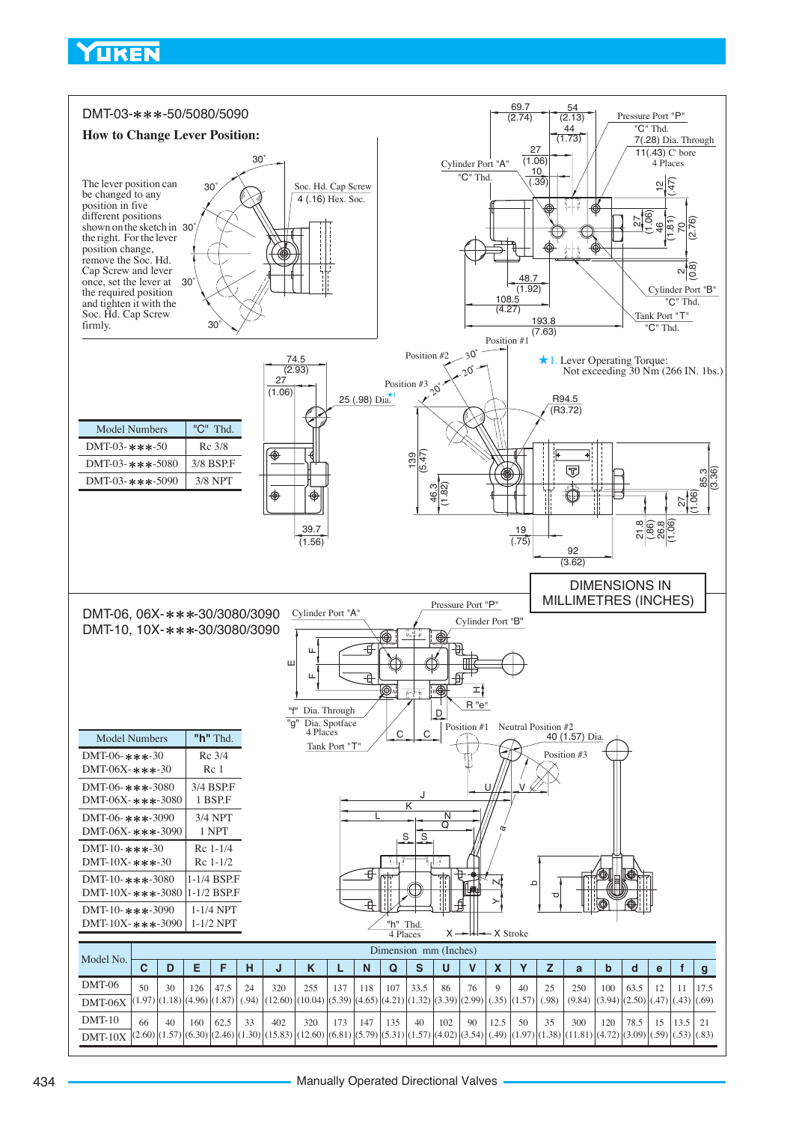<span id="page-5-0"></span>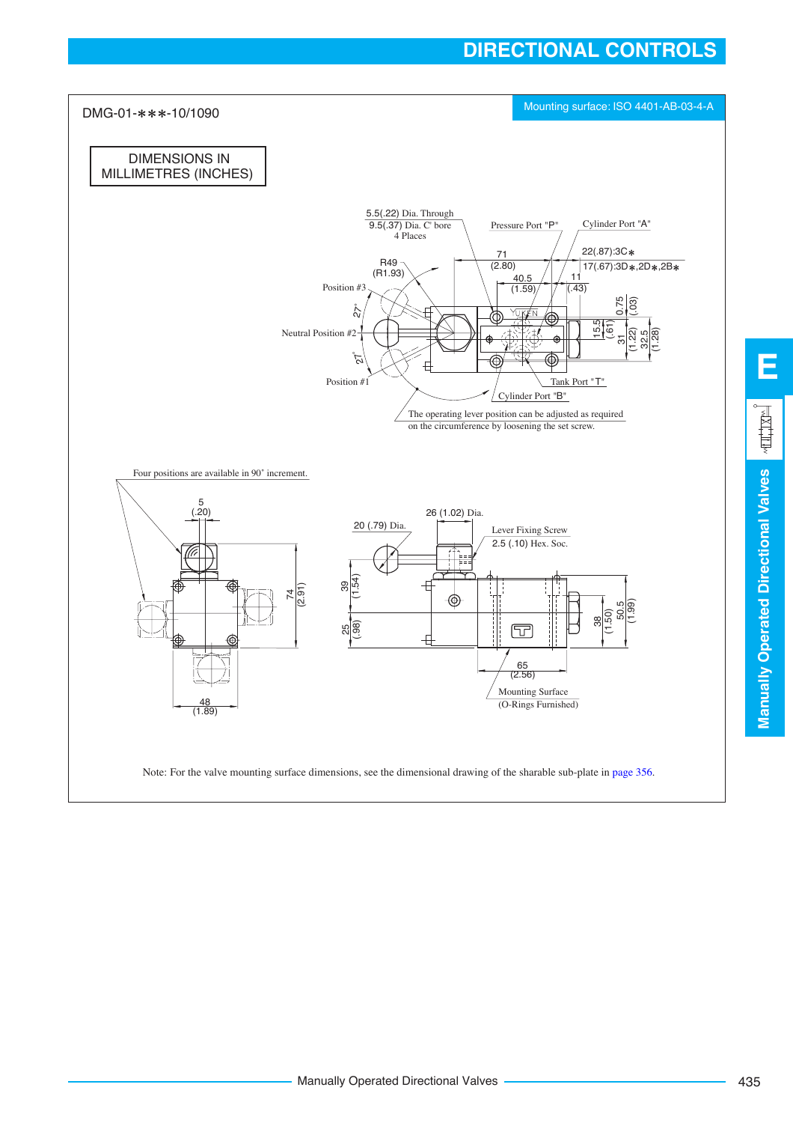### **DIRECTIONAL CONTROLS**



**E**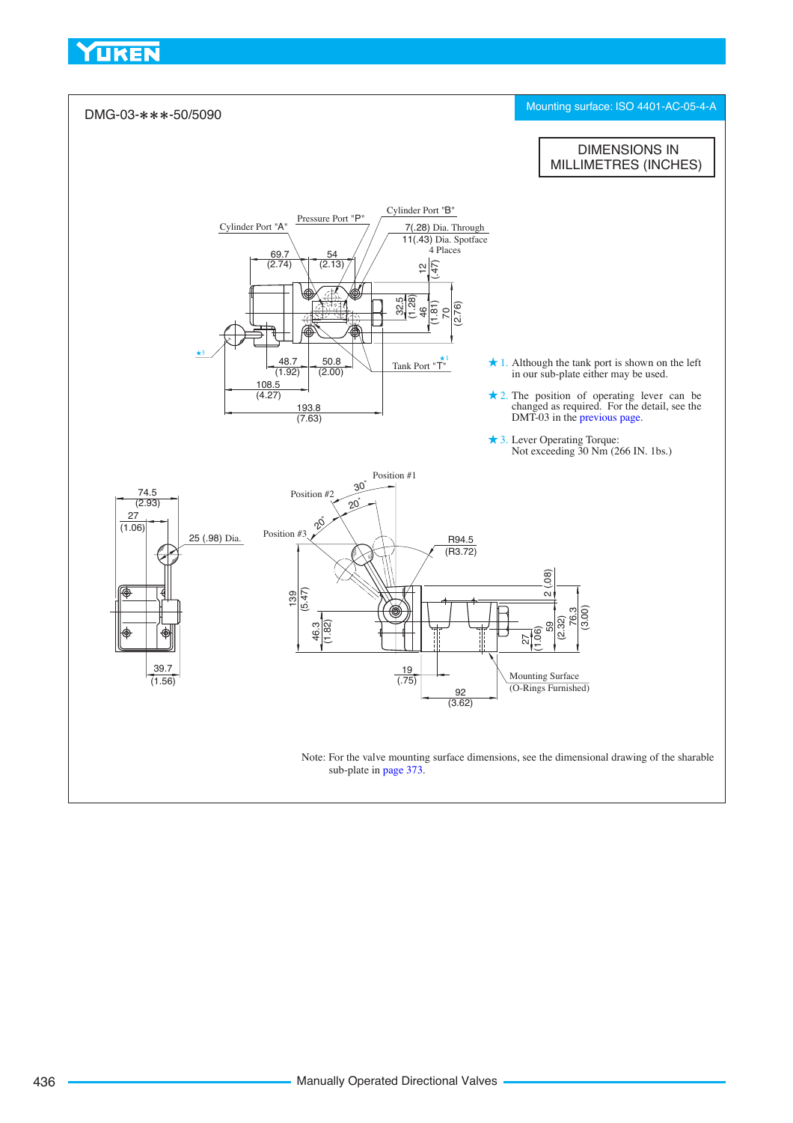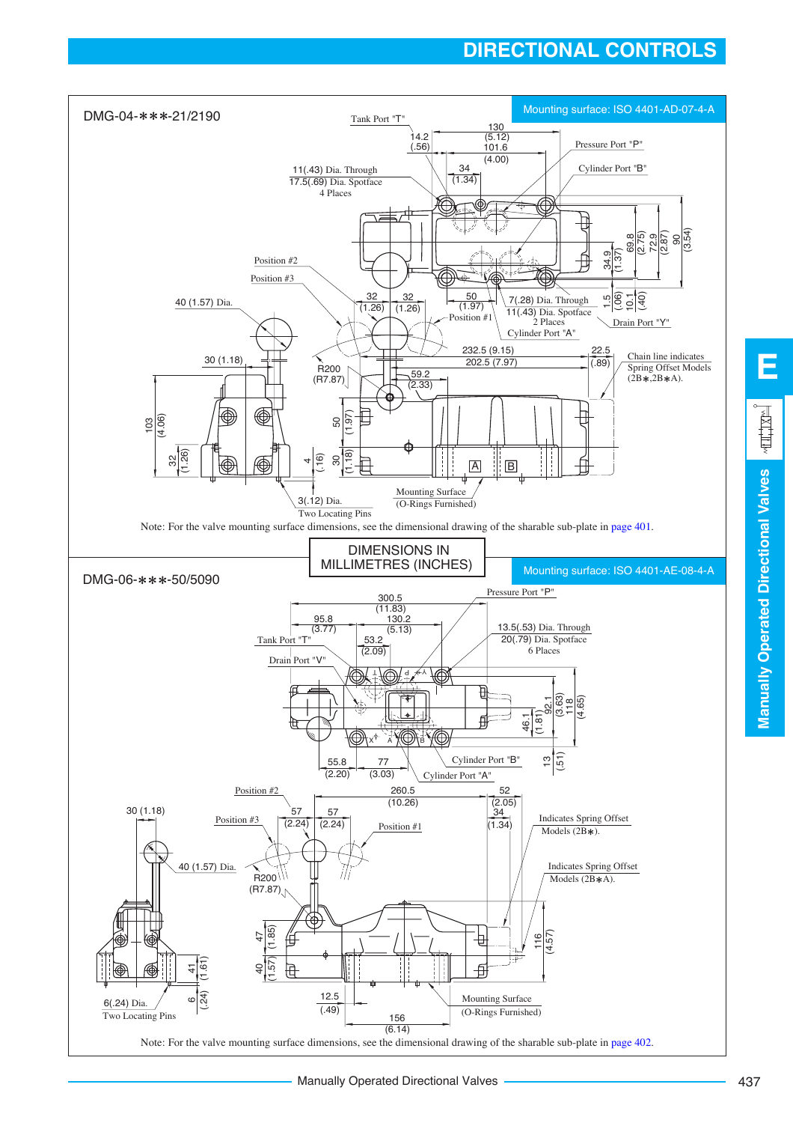## **DIRECTIONAL CONTROLS**



**E**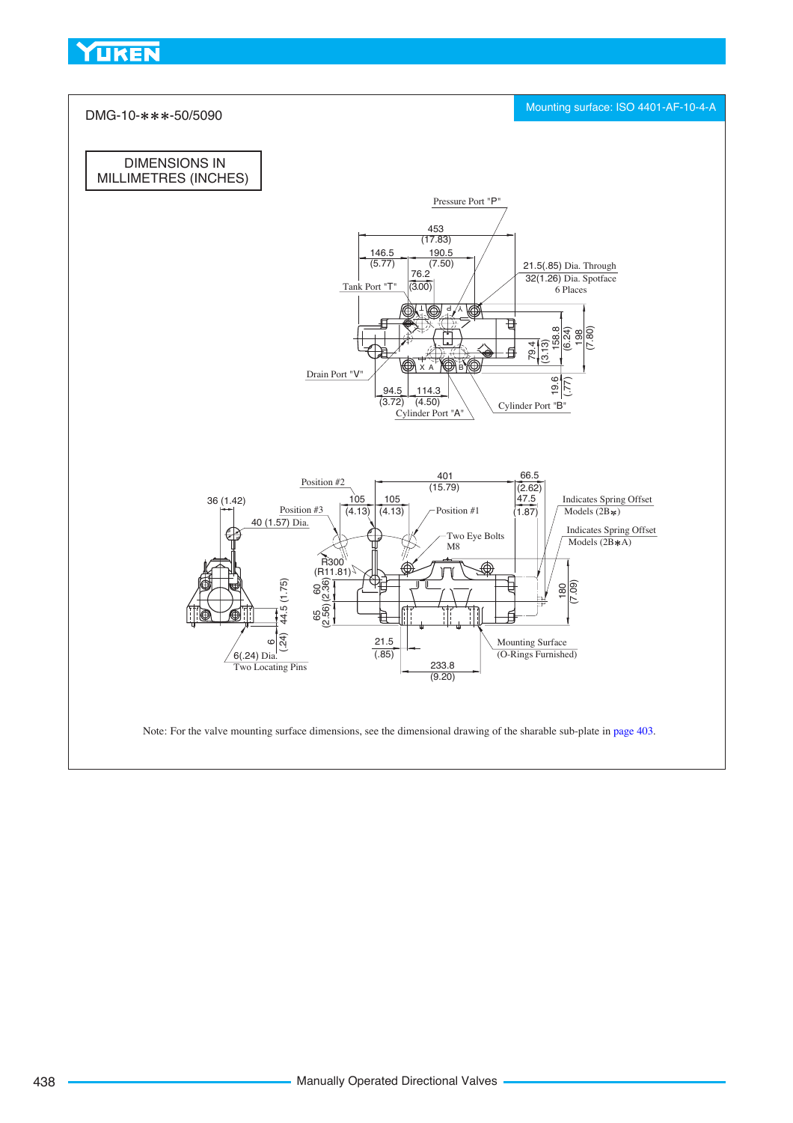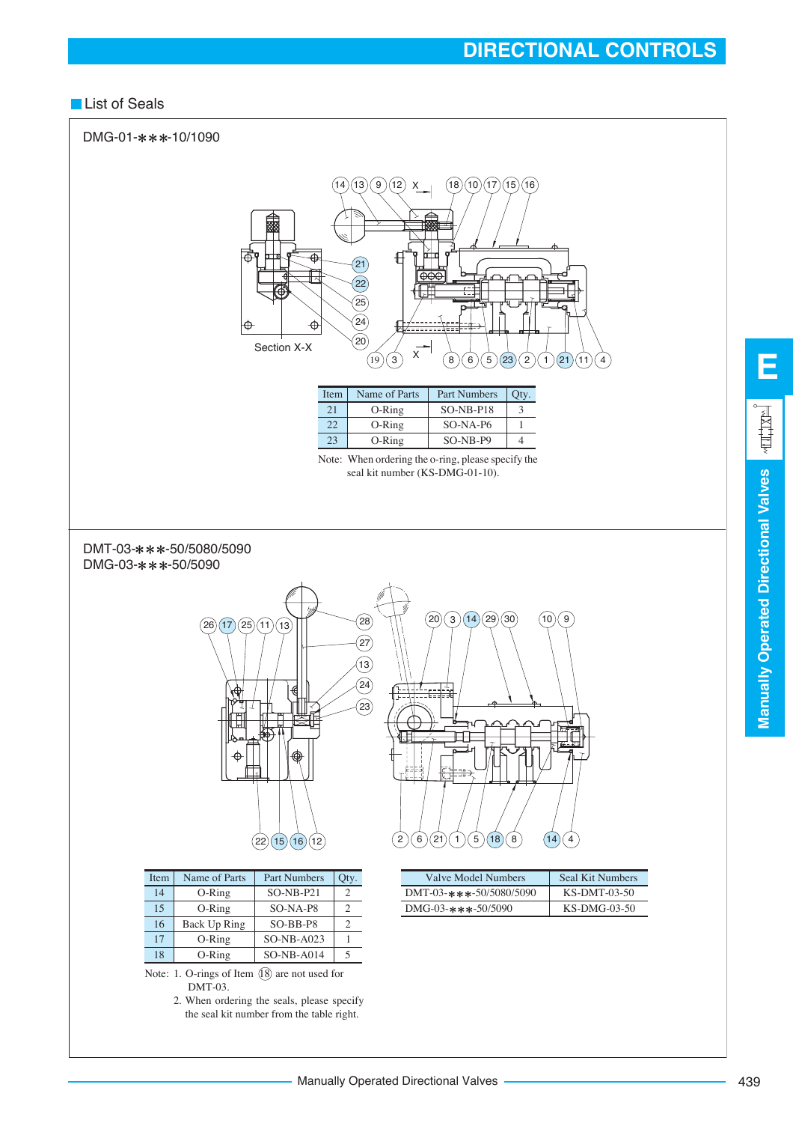#### **List of Seals**



**Manually Operated Directional Valves**

**Manually Operated Directional Valves** 

**E**

ALL'IXE